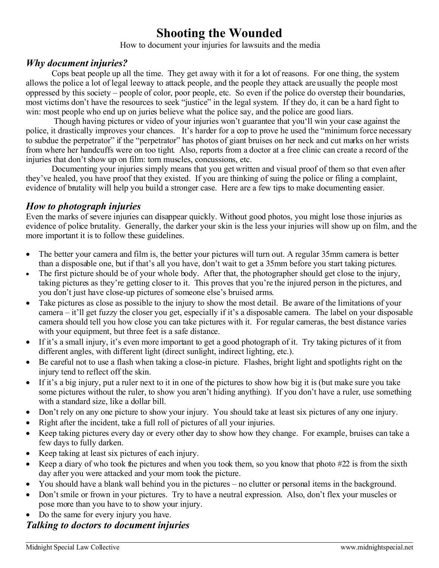# **Shooting the Wounded**

How to document your injuries for lawsuits and the media

#### *Why document injuries?*

Cops beat people up all the time. They get away with it for a lot of reasons. For one thing, the system allows the police a lot of legal leeway to attack people, and the people they attack are usually the people most oppressed by this society – people of color, poor people, etc. So even if the police do overstep their boundaries, most victims don't have the resources to seek "justice" in the legal system. If they do, it can be a hard fight to win: most people who end up on juries believe what the police say, and the police are good liars.

Though having pictures or video of your injuries won't guarantee that you'll win your case against the police, it drastically improves your chances. It's harder for a cop to prove he used the "minimum force necessary to subdue the perpetrator" if the "perpetrator" has photos of giant bruises on her neck and cut marks on her wrists from where her handcuffs were on too tight. Also, reports from a doctor at a free clinic can create a record of the injuries that don't show up on film: torn muscles, concussions, etc.

Documenting your injuries simply means that you get written and visual proof of them so that even after they've healed, you have proof that they existed. If you are thinking of suing the police or filing a complaint, evidence of brutality will help you build a stronger case. Here are a few tips to make documenting easier.

# *How to photograph injuries*

Even the marks of severe injuries can disappear quickly. Without good photos, you might lose those injuries as evidence of police brutality. Generally, the darker your skin is the less your injuries will show up on film, and the more important it is to follow these guidelines.

- The better your camera and film is, the better your pictures will turn out. A regular 35mm camera is better than a disposable one, but if that's all you have, don't wait to get a 35mm before you start taking pictures.
- The first picture should be of your whole body. After that, the photographer should get close to the injury, taking pictures as they're getting closer to it. This proves that you're the injured person in the pictures, and you don't just have close-up pictures of someone else's bruised arms.
- Take pictures as close as possible to the injury to show the most detail. Be aware of the limitations of your camera – it'll get fuzzy the closer you get, especially if it's a disposable camera. The label on your disposable camera should tell you how close you can take pictures with it. For regular cameras, the best distance varies with your equipment, but three feet is a safe distance.
- If it's a small injury, it's even more important to get a good photograph of it. Try taking pictures of it from different angles, with different light (direct sunlight, indirect lighting, etc.).
- Be careful not to use a flash when taking a close-in picture. Flashes, bright light and spotlights right on the injury tend to reflect off the skin.
- If it's a big injury, put a ruler next to it in one of the pictures to show how big it is (but make sure you take some pictures without the ruler, to show you aren't hiding anything). If you don't have a ruler, use something with a standard size, like a dollar bill.
- Don't rely on any one picture to show your injury. You should take at least six pictures of any one injury.
- Right after the incident, take a full roll of pictures of all your injuries.
- Keep taking pictures every day or every other day to show how they change. For example, bruises can take a few days to fully darken.
- Keep taking at least six pictures of each injury.
- Exercise Keep a diary of who took the pictures and when you took them, so you know that photo  $#22$  is from the sixth day after you were attacked and your mom took the picture.
- You should have a blank wall behind you in the pictures no clutter or personal items in the background.
- Don't smile or frown in your pictures. Try to have a neutral expression. Also, don't flex your muscles or pose more than you have to to show your injury.
- Do the same for every injury you have.

# *Talking to doctors to document injuries*